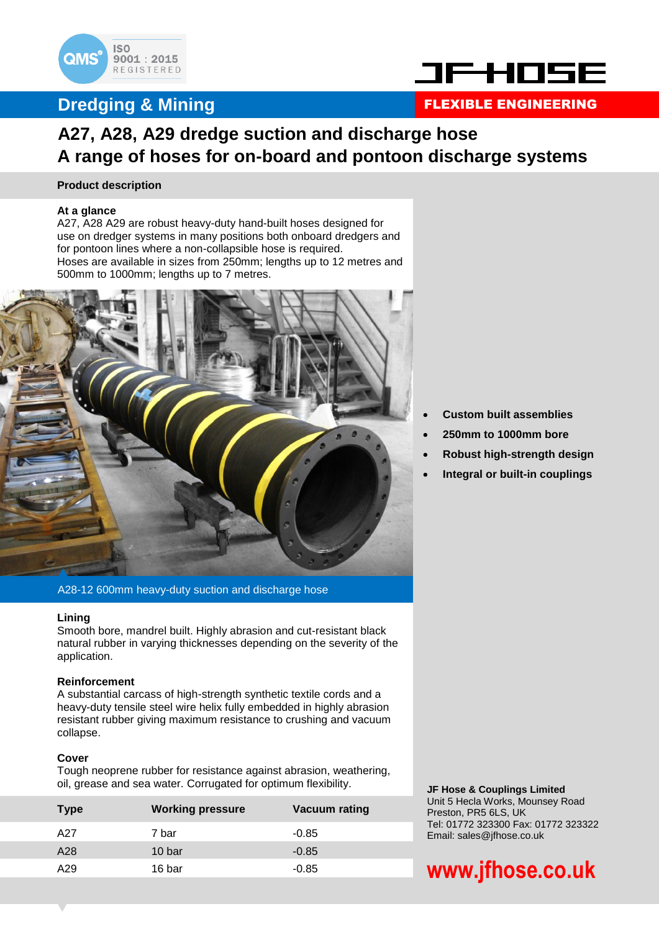

### **Dredging & Mining**



### FLEXIBLE ENGINEERING

### **A27, A28, A29 dredge suction and discharge hose A range of hoses for on-board and pontoon discharge systems**

#### **Product description**

#### **At a glance**

A27, A28 A29 are robust heavy-duty hand-built hoses designed for use on dredger systems in many positions both onboard dredgers and for pontoon lines where a non-collapsible hose is required. Hoses are available in sizes from 250mm; lengths up to 12 metres and 500mm to 1000mm; lengths up to 7 metres.



A28-12 600mm heavy-duty suction and discharge hose

#### **Lining**

Smooth bore, mandrel built. Highly abrasion and cut-resistant black natural rubber in varying thicknesses depending on the severity of the application.

#### **Reinforcement**

A substantial carcass of high-strength synthetic textile cords and a heavy-duty tensile steel wire helix fully embedded in highly abrasion resistant rubber giving maximum resistance to crushing and vacuum collapse.

#### **Cover**

Tough neoprene rubber for resistance against abrasion, weathering, oil, grease and sea water. Corrugated for optimum flexibility.

| <b>Working pressure</b> | <b>Vacuum rating</b> |
|-------------------------|----------------------|
| 7 bar                   | $-0.85$              |
| 10 bar                  | $-0.85$              |
| 16 bar                  | $-0.85$              |
|                         |                      |

- **Custom built assemblies**
- **250mm to 1000mm bore**
- **Robust high-strength design**
- **Integral or built-in couplings**

**JF Hose & Couplings Limited** Unit 5 Hecla Works, Mounsey Road Preston, PR5 6LS, UK Tel: 01772 323300 Fax: 01772 323322 Email: sales@jfhose.co.uk

# **www.jfhose.co.uk**